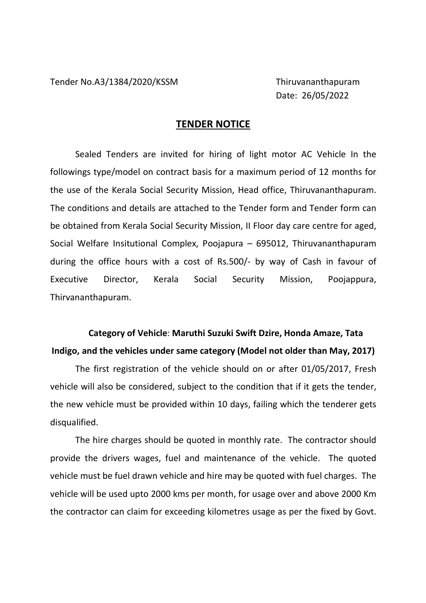Date: 26/05/2022

## **TENDER NOTICE**

 Sealed Tenders are invited for hiring of light motor AC Vehicle In the followings type/model on contract basis for a maximum period of 12 months for the use of the Kerala Social Security Mission, Head office, Thiruvananthapuram. The conditions and details are attached to the Tender form and Tender form can be obtained from Kerala Social Security Mission, II Floor day care centre for aged, Social Welfare Insitutional Complex, Poojapura – 695012, Thiruvananthapuram during the office hours with a cost of Rs.500/- by way of Cash in favour of Executive Director, Kerala Social Security Mission, Poojappura, Thirvananthapuram.

## **Category of Vehicle**: **Maruthi Suzuki Swift Dzire, Honda Amaze, Tata Indigo, and the vehicles under same category (Model not older than May, 2017)**

 The first registration of the vehicle should on or after 01/05/2017, Fresh vehicle will also be considered, subject to the condition that if it gets the tender, the new vehicle must be provided within 10 days, failing which the tenderer gets disqualified.

 The hire charges should be quoted in monthly rate. The contractor should provide the drivers wages, fuel and maintenance of the vehicle. The quoted vehicle must be fuel drawn vehicle and hire may be quoted with fuel charges. The vehicle will be used upto 2000 kms per month, for usage over and above 2000 Km the contractor can claim for exceeding kilometres usage as per the fixed by Govt.